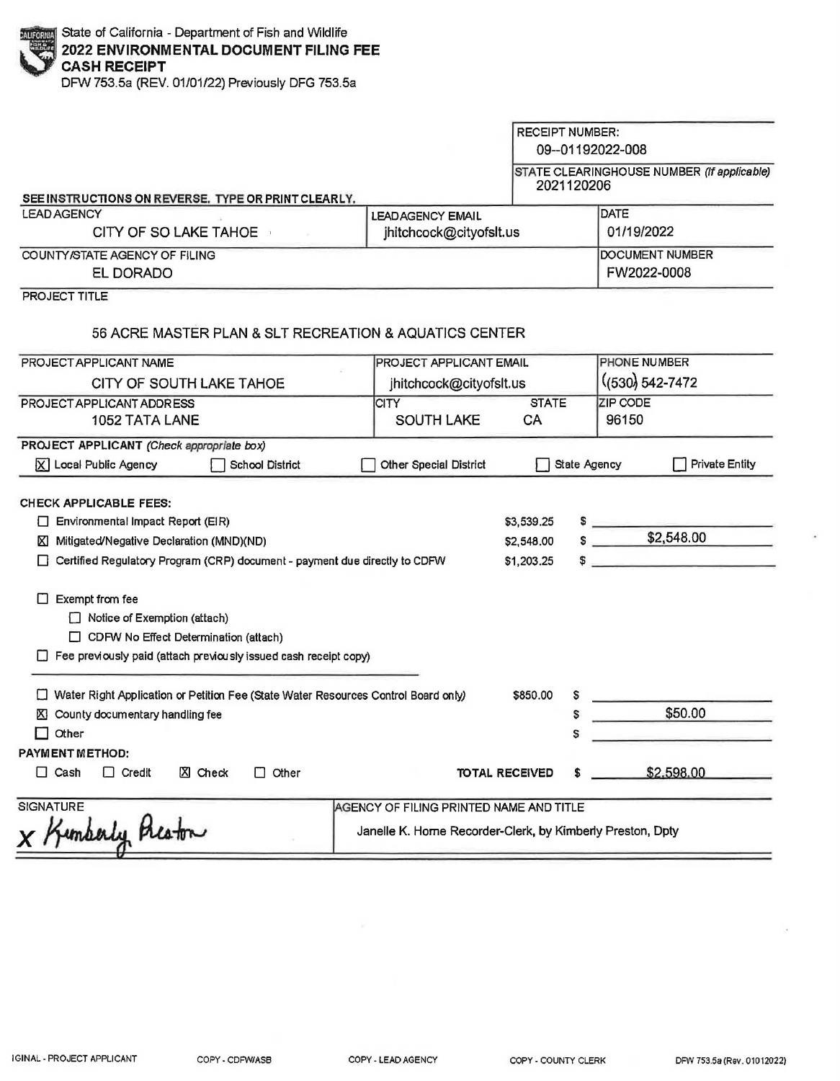DFW 753.5a (REV. 01/01/22) Previously DFG 753.5a

| SEE INSTRUCTIONS ON REVERSE. TYPE OR PRINT CLEARLY.                                                                                                                                                              |                                                                                                      | <b>RECEIPT NUMBER:</b><br>09--01192022-008<br>2021120206 | STATE CLEARINGHOUSE NUMBER (If applicable)      |
|------------------------------------------------------------------------------------------------------------------------------------------------------------------------------------------------------------------|------------------------------------------------------------------------------------------------------|----------------------------------------------------------|-------------------------------------------------|
| <b>LEAD AGENCY</b><br>CITY OF SO LAKE TAHOE                                                                                                                                                                      | <b>LEADAGENCY EMAIL</b><br>jhitchcock@cityofslt.us                                                   |                                                          | <b>DATE</b><br>01/19/2022                       |
| COUNTY/STATE AGENCY OF FILING<br>EL DORADO                                                                                                                                                                       |                                                                                                      |                                                          | DOCUMENT NUMBER<br>FW2022-0008                  |
| PROJECT TITLE<br>56 ACRE MASTER PLAN & SLT RECREATION & AQUATICS CENTER                                                                                                                                          |                                                                                                      |                                                          |                                                 |
| PROJECT APPLICANT NAME                                                                                                                                                                                           | PROJECT APPLICANT EMAIL                                                                              |                                                          | PHONE NUMBER                                    |
| CITY OF SOUTH LAKE TAHOE                                                                                                                                                                                         | jhitchcock@cityofslt.us                                                                              |                                                          | $(530)$ 542-7472                                |
| PROJECT APPLICANT ADDRESS<br>1052 TATA LANE                                                                                                                                                                      | <b>CITY</b><br><b>SOUTH LAKE</b>                                                                     | <b>STATE</b><br>CA                                       | <b>ZIP CODE</b><br>96150                        |
| PROJECT APPLICANT (Check appropriate box)<br>$\chi$ Local Public Agency<br>School District                                                                                                                       | <b>Other Special District</b>                                                                        | State Agency                                             | <b>Private Entity</b>                           |
| <b>CHECK APPLICABLE FEES:</b><br>$\Box$ Environmental Impact Report (EIR)<br>Mitigated/Negative Declaration (MND)(ND)<br><b>XI</b><br>Certified Regulatory Program (CRP) document - payment due directly to CDFW |                                                                                                      | \$3,539.25<br>\$2,548.00<br>\$1,203.25<br>s.             | \$2,548.00<br>the control of the control of the |
| Exempt from fee<br>U.<br>Notice of Exemption (attach)<br>$\Box$ CDFW No Effect Determination (attach)<br>$\Box$ Fee previously paid (attach previously issued cash receipt copy)                                 |                                                                                                      |                                                          |                                                 |
| Water Right Application or Petition Fee (State Water Resources Control Board only)<br>X County documentary handling fee<br>Other                                                                                 |                                                                                                      | \$850.00<br>S<br>\$<br>s                                 | \$50.00                                         |
| <b>PAYMENT METHOD:</b><br>$\Box$ Cash<br>$\Box$ Credit<br>X Check<br>$\Box$ Other                                                                                                                                | <b>TOTAL RECEIVED</b>                                                                                |                                                          | \$2.598.00                                      |
| <b>SIGNATURE</b><br>funderly theaton                                                                                                                                                                             | AGENCY OF FILING PRINTED NAME AND TITLE<br>Janelle K. Home Recorder-Clerk, by Kimberly Preston, Dpty |                                                          |                                                 |